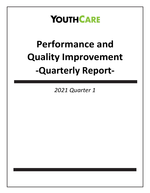## **YOUTHCARE**

# **Performance and Quality Improvement -Quarterly Report-**

*2021 Quarter 1*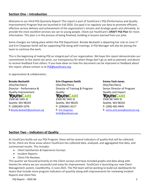## **Section One – Introduction**

Welcome to our third PQI Quarterly Report! This report is part of YouthCare's PQI (Performance and Quality Improvement) Program that we launched in Fall 2020. Our goal is to regularly use data to promote efficient, effective service delivery and achievement of the organization's mission and strategic goals and ultimately, to provide the most excellent services we can to young people. Check out YouthCare's **DRAFT PQI Plan** for more information. This plan is in the process of being finalized, building in lessons learned from our pilot.

Some changes are taking place within the PQI Department. Brooke Beckwith is departing her role on June  $1<sup>st</sup>$ and Erin Chapman-Smith will be supporting PQI along with trainings. A PQI Manager will also be joining the team to continue the work.

This is the beginning of making PQI an integral part of our organization. We hope this report demonstrates our commitment to the clients we serve, our transparency for when things don't go as well as planned, and desire to receive feedback from others. If you have ideas on how this document can be improved or feedback about this report, please contact us at [PQI@youthcare.org.](mailto:PQI@youthcare.org)

In appreciation & collaboration,

#### **Brooke Beckwith**

(She/Her/Hers) Director - Performance & Quality Improvement YOUTHCARE 2500 NE 54th St Seattle, WA 98105 P: (206)369-1076 E:[Brooke.Beckwith@youthcare.org](mailto:Brooke.Beckwith@youthcare.org) **Erin Chapman-Smith** (She/Her/Hers) Director of Training & Program **Quality** YOUTHCARE 2500 NE 54th St Seattle, WA 98105 P: (206)661-6217 E: [Erin.Chapman-](mailto:Erin.Chapman-Smith@youthcare.org)[Smith@youthcare.org](mailto:Erin.Chapman-Smith@youthcare.org)

**Emma York-Jones** (She/Her/Hers) Senior Director of Program Quality and Impact **YOUTH CARE** 2500 NE 54th St Seattle, WA 98105 P: (206) 465-9445

E: [emma.york-jones@youthcare.org](file:///C:/Users/emma.york-Jones/AppData/Local/Microsoft/Windows/INetCache/Content.Outlook/S6AC1LL6/emma.york-jones@youthcare.org)

## **Section Two – Indicators of Quality**

As YouthCare builds out our PQI Program, there will be several indicators of quality that will be collected. So far, there are three areas where YouthCare has collected data, analyzed, and aggregated that data, and summarized results. This includes:

- Client Satisfaction & Experience Surveys
- Incident Reports
- Client File Reviews

This quarter we focused primarily on the Client surveys and have included graphs and data along with themes for where we are successful and areas for improvement. YouthCare is launching our new Client Management system, CaseWorthy, in June 2021. The PQI team will be working to build out dashboards for teams that include more program indicators of quantity along with improvements for reviewing Incident Reports and client files

PQI Report – 2020 Q4 2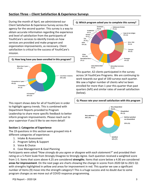## **Section Three – Client Satisfaction & Experience Surveys**

During the month of April, we administered our Client Satisfaction & Experience Survey across the agency for the second quarter. This survey is a way to obtain accurate information regarding the experience and level of satisfaction from the participants of YouthCare's services to identify trends on how services are provided and make program and organization improvements, as necessary. Client satisfaction is critical to the success of YouthCare's mission.



This report shows data for all of YouthCare in order to highlight agency trends. This is combined with Department Reports provided to Program Leadership to share more specific feedback to better inform program improvements. Please reach out to your supervisor if you'd like to see more detail!

## **Section 1: Categories of Experience**

The 19 questions in this section were grouped into 4 different categories of experience:

- 1. Intake & Assessment
- 2. Program Safety & Support
- 3. Voice & Choice
- 4. Case Management & Goal Planning

Participants were asked *"How strongly do you agree or disagree with each statement?"* and provided their rating on a 5-Point Scale from Strongly Disagree to Strongly Agree. Each question received a weighted score from 1-5. Items that score above 4.25 are considered **strengths**. Items that score below a 4.00 are considered **areas for improvement**. On the next page are charts showing the change in scores from 2020 Q4 to 2021 Q1 with strengths highlighted in yellow and areas for improvement in red. This quarter we saw a significant number of items (9) move into the strength category!! This is a huge success and no doubt due to some program changes as we move out of COVID response programming.



This quarter, 62 clients participated in the survey across 14 YouthCare Programs. We are continuing to work towards our goal of 100 surveys each quarter. We saw a higher number of clients who've been enrolled for more than 1 year this quarter than past quarters (left) and similar rates of overall satisfaction (below).

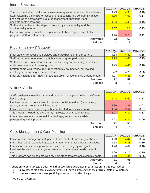## Intake & Assessment

|                                                                            | 2020 Q4 | 2021 Q1 | <b>CHANGE</b> |
|----------------------------------------------------------------------------|---------|---------|---------------|
| The purpose behind intake and assessment questions were explained to me.   | 4.23    | 4.33    | 0.10          |
| Staff asked me the intake or assessment questions in a confidential place. | 4.36    | 4.53    | 0.17          |
| I can refuse to answer any intake or assessment questions I feel           |         |         |               |
| uncomfortable answering.                                                   | 4.34    | 4.49    | 0.15          |
| Staff and volunteers take steps to protect my confidentiality and the      |         |         |               |
| confidentiality of others.                                                 | 4.37    | 4.5     | 0.13          |
| I know how to file a complaint or grievance if I have a problem with the   |         |         |               |
| program, staff, or volunteers.                                             | 4.14    | 3.73    | $-0.41$       |
| <b>Answered</b>                                                            | 73      | 60      |               |
| <b>Skipped</b>                                                             | 2       | 2       |               |

## Program Safety & Support

|                                                                                                                    | 2020 Q4 | 2021 Q1 | <b>CHANGE</b> |
|--------------------------------------------------------------------------------------------------------------------|---------|---------|---------------|
| I feel safe while accessing services and participating in this program.                                            | 4.13    | 4.31    | 0.18          |
| Staff helped me understand my rights as a program participant.                                                     | 4.29    | 4.48    | 0.19          |
| Staff helped me understand the rules of the program, why they have them,<br>and consequences of breaking rules.    | 4.25    | 4.41    | 0.16          |
| Staff treat me with respect (i.e., respecting my boundaries, not making<br>insulting or humiliating remarks, etc.) | 4.2     | 4.20    | 0.00          |
| I feel okay letting staff know if I have a problem or feel unsafe around others.                                   | 4.07    | 4.43    | 0.36          |
| <b>Answered</b>                                                                                                    | 72      | 59      |               |
| <b>Skipped</b>                                                                                                     |         | 3       |               |

## Voice & Choice

|                                                                                                                        | 2020 Q4 | 2021 Q1 | <b>CHANGE</b> |
|------------------------------------------------------------------------------------------------------------------------|---------|---------|---------------|
| Staff consistently use the name and pronouns I use (ex. she/her, they/them,<br>he/him, etc.).                          | 4.42    | 4.59    | 0.17          |
| I've been asked to be involved in program decision making (i.e. advisory<br>group, input on program activities, etc.). | 3.86    | 3.83    | $-0.03$       |
| I have seen examples where youth input has led to positive change.                                                     | 4.04    | 3.67    | $-0.37$       |
| This program helped me explore my interests, talents, and abilities.                                                   | 3.97    | 4.30    | 0.33          |
| I get to express my culture, religion, heritage, and/or identity while<br>participating in this program.               | 4.23    | 4.32    | 0.09          |
| <b>Answered</b>                                                                                                        | 71      | 58      |               |
| <b>Skipped</b>                                                                                                         |         |         |               |

## Case Management & Goal Planning

|                                                                             | 2020 Q4 | 2021 Q1 | <b>CHANGE</b> |
|-----------------------------------------------------------------------------|---------|---------|---------------|
| I have a case manager or staff person I can meet with on a regular basis.   | 4.23    | 4.47    | 0.24          |
| I talk about what I want during case management and/or program activities.  |         | 4.33    | 0.19          |
| I participate in developing my service plan and setting my own goals.       | 4.20    | 4.04    | $-0.16$       |
| I feel like the staff in this program care about me, and my needs matter to |         |         |               |
| them.                                                                       | 4.06    | 4.16    | 0.10          |
| This program has helped me with my next steps towards achieving my goals.   | 4.19    | 4.44    | 0.25          |
| <b>Answered</b>                                                             | 71      | 55      |               |
| <b>Skipped</b>                                                              | 4       |         |               |

In addition to our success, 2 questions that saw large decreases in satisfaction this quarter were:

- 1. I know how to file a complaint or grievance if I have a problem with the program, staff, or volunteers.
- 2. I have seen examples where youth input has led to positive change.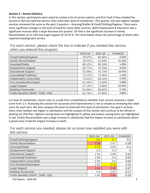#### **Section 2 – Service Delivery**

In this section, participants were asked to review a list of service options and first mark if they needed the service or did not need the service, then mark their level of satisfaction. This quarter, the two highest needed services remained the same as the past 2 quarters – Housing/Shelter & Food/Clothing/Hygiene. There were some significant changes in the level of need for some other services. Both Employment & Education saw a significant increase after a large decrease last quarter. Of note is the significant increase in Family Reconciliation at 21.52% and Legal Support of 16.54 %. The chart below shows the percentage of clients who reported needing each service.

For each service, please check the box to indicate if you needed this service when you entered this program.

|                                   | 2020 Q4 | 2021 Q1 | <b>CHANGE</b> |
|-----------------------------------|---------|---------|---------------|
| Food/Clothing/Hygiene             | 79.07%  | 80.00%  | 0.93%         |
| <b>Family Reconciliation</b>      | 19.51%  | 41.03%  | 21.52%        |
| Housing/Shelter                   | 88.10%  | 89.19%  | 1.09%         |
| <b>Employment Support</b>         | 69.77%  | 78.79%  | 9.02%         |
| <b>Educational Support</b>        | 52.38%  | 70.73%  | 18.35%        |
| Counseling/Treatment              | 73.17%  | 74.36%  | 1.19%         |
| <b>Independent Living Skills</b>  | 73.81%  | 68.42%  | $-5.39%$      |
| Fun Activities/Recreation         | 67.44%  | 72.50%  | 5.06%         |
| Legal Support                     | 57.14%  | 73.68%  | 16.54%        |
| <b>Building Community</b>         | 53.66%  | 58.82%  | 5.16%         |
| Public Benefits (SNAP, TANF, SSI) | 62.79%  | 67.65%  | 4.86%         |

For level of satisfaction, clients rate on a scale from unsatisfied to satisfied. Each service received a rated score from 1-3. Assessing this section for successes and improvements is not as simple as reviewing the rated score for each item. We also compare the level of need with the level of satisfaction. Our goal is to have items most needed rate higher in satisfaction and the analysis of this section will continue to be refined in piloting our PQI Plan. Highest scoring items are highlighted in yellow and lowest scoring items are highlighted in red. Family Reconciliation saw a large increase in satisfaction had the largest increase in satisfaction which is great since it had the largest increase in need!

For each service you needed, please let us know how satisfied you were with this service.

|                                   | 2020 Q4 | 2021 Q1 | <b>CHANGE</b> |
|-----------------------------------|---------|---------|---------------|
| Food/Clothing/Hygiene             | 2.8     | 2.7     | $-0.1$        |
| <b>Family Reconciliation</b>      | 2.38    | 2.67    | 0.29          |
| Housing/Shelter                   | 2.75    | 2.65    | $-0.1$        |
| <b>Employment Support</b>         | 2.6     | 2.6     |               |
| <b>Educational Support</b>        | 2.54    | 2.68    | 0.14          |
| Counseling/Treatment              | 2.58    | 2.6     | 0.02          |
| <b>Independent Living Skills</b>  | 2.56    | 2.6     | 0.04          |
| Fun Activities/Recreation         | 2.52    | 2.74    | 0.22          |
| <b>Legal Support</b>              | 2.49    | 2.56    | 0.07          |
| <b>Building Community</b>         | 2.5     | 2.67    | 0.17          |
| Public Benefits (SNAP, TANF, SSI) | 2.64    | 2.46    | $-0.18$       |

PQI Report – 2020 Q4 5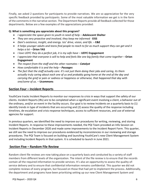Finally, we asked 2 questions for participants to provide narratives. We are so appreciative for the very specific feedback provided by participants. Some of the most valuable information we get is in the form of the comments in the narrative section. The Department Reports provide all feedback collected for those departments. Below are a few examples of the appreciations provided:

## **Q: What is something you appreciate about this program?**

- *I appreciate the space given to youth in need of help –* **Adolescent Shelter**
- *They are very proactive and involved, they keep me informed -* **EISS**
- *Dani's existence, insight, and energy. Isis' drive, vision, and life. –* **E&E**
- *It helps younger adults and teens find people to reach to for as much support they can get and it helps a lot –* **Orion YAS**
- *I love UDYC they do a perfect job, it is my safe have –* **UDYC Engagement**
- *I appreciate that everyone is will to help and feels like one big family that come together Orion* **Engagement**
- *The respect from the staff and the other roomates Catalyst*
- *How comfortable it is and the help – Passages*
- *The fact that the staff actually care. It's not just them doing their jobs and caring, its them actually truly caring about each one of us and probably going home at the end of the day and carrying the grief or pain or sadness or happiness or otherwise, that happened that day with one/some of us. –* **Ucommons**

## **Section Four – Incident Reports**

YouthCare tracks Incident Reports to monitor our responses to crisis in ways that support the safety of our clients. Incident Reports (IRs) are to be completed when a significant event involving a client, a behavior out of the ordinary, and/or an event in the facility occurs. Our goal is to review Incidents on a quarterly basis to (1) identify trends in type of incidents that are occurring and (2) assess the quality of the response including timelines, de-escalation and crisis response techniques, access to sufficient resources, and use of external agencies for support.

In previous quarters, we identified the need to improve our procedures for writing, reviewing, and storing Incident Reports. In response to these improvements needed, the PQI Team provided an Info Session on Incident Reports in December 2020 and made some improvements to the Incident Report Form. This quarter, we still see the need to improve our procedures evidenced by inconsistencies in our reviewing and storage procedures. The PQI Team is focused on building and launching YouthCare's new Client Management System and including Incident Reports in that system. It is scheduled to launch in June 2021.

## **Section Five – Random File Review**

Random client file reviews are now taking place on a quarterly basis and conducted by a variety of staff members from different levels of the organization. The intent of the file review is to ensure that the records contain all the required information to provide services. It's also an opportunity to assess the quality-ofservice delivery and to ensure that confidential information remains confidential. This quarter we did not complete reviews of every program, but focused on those that had yet to implement the process. Additionally, the department and programs have been prioritizing setting up our new Client Management System and